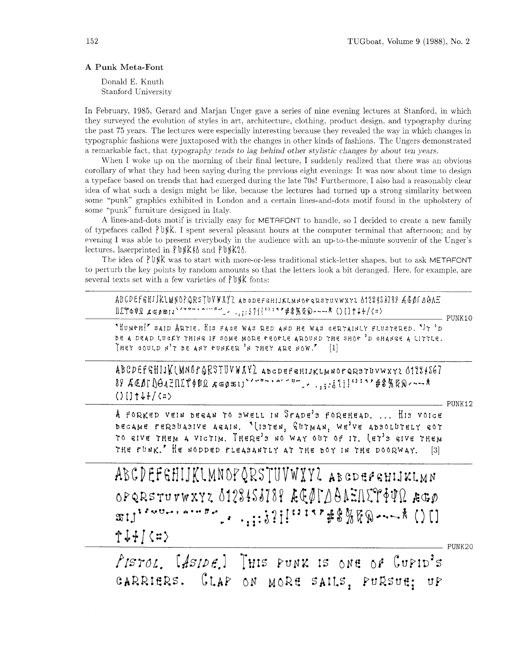## **A** Punk Meta-Font

Donald E. Knuth Stanford University

In February, 1985. Gerard and Marjan Unger gave a series of nine evening lectures at Stanford. in which they surveyed the evolution of styles in art, architecture, clothing, product design. and typography during the past 75 years. The lectures were especially interesting because they revealed the way in which changes in typographic fashions were juxtaposed with the changes in other kinds of fashions. The Ungers demonstrated a remarkable fact, that typography tends to lag behind other stylistic changes by about ten years.

When I woke up on the morning of their final lecture, I suddenly realized that there was an obvious corollary of what they had been saying during the previous eight evenings: It was now about time to design a typeface based on trends that had emerged during the late 70s! Furthermore, I also had a reasonably clear idea of what such a design might be like. because the lectures had turned up a strong similarity between some "punk" graphics exhibited in London and a certain lines-and-dots motif found in the upholstery of some "punk" furniture designed in Italy.

A lines-and-dots motif is trivially easy for METAFONT to handle, so I decided to create a new family of typefaces called  $\gamma$  of K. I spent several pleasant hours at the computer terminal that afternoon; and by evening I was able to present everybody in the audience with an up-to-the-minute souvenir of the Lnger's lectures, laserprinted in  $\forall \forall k \in \mathbb{R}$  and  $\forall \forall k \in \mathbb{R}$ .

The idea of  $\ell \in \mathbb{N}$ K was to start with more-or-less traditional stick-letter shapes, but to ask METAFONT to perturb the key points by random amounts so that the letters look a bit deranged. Here. for example. are several texts set with a few varieties of  $\ell$  bn/k fonts:

ABCDEFGHIJKLMNOPQRSTUVWXYZ ABCDEFGHIJKLMNOPQRSTUVWXY2 6128453789 ÆGØI DOAE  $\frac{1}{2}$  $\frac{1}{2}$  $\frac{1}{2}$  $\frac{1}{2}$  $\frac{1}{2}$  $\frac{1}{2}$  $\frac{1}{2}$  $\frac{1}{2}$  $\frac{1}{2}$  $\frac{1}{2}$  $\frac{1}{2}$  $\frac{1}{2}$  $\frac{1}{2}$  $\frac{1}{2}$  $\frac{1}{2}$  $\frac{1}{2}$  $\frac{1}{2}$  $\frac{1}{2}$  $\frac{1}{2}$  $\frac{1}{2}$  $\frac{1}{2}$  $\frac{1}{2}$  $\frac{1}{2}$  $\frac{1}{2}$  $\frac{1$ 

 $-$  PUNK10

'~UMPH!' SAID ART!?. HIS FACE WAS RED AND HE WAS CERTAINLY FLUSTERED. '11. 'D BE A DEAD LUCKY THING IF SOME MORE PEOPLE AROUND THE SHOP 'D CHANGE A LITTLE. THEY COULD N'T BE ANY PUNKER 'N THEY ARE NOW." [1]

ABCDEFGHIJKLMNOPORSTUVWXYL ABCDEFEHIJKLMNOPORSTUVWXY2 01284S67  $\frac{1}{28} \frac{1}{4601} \frac{1}{10012} \frac{1}{10012} \frac{1}{10012} \frac{1}{40011} \frac{1}{40011} \frac{1}{40011} \frac{1}{40011} \frac{1}{40011} \frac{1}{40011} \frac{1}{40011} \frac{1}{40011} \frac{1}{40011} \frac{1}{40011} \frac{1}{40011} \frac{1}{40011} \frac{1}{40011} \frac{1}{40011} \frac{1}{40011} \frac{1$ 

 $-$  PUNK 12

A FORKED VEIN BEGAN TO SWELL IN SPADE'S FOREHEAD. ... HIS VOICE DECAME PERSUASIVE AGAIN. "(ISTEN, GUTMAN, WE<sup>3</sup>VE ADSOLUTELY GOT TO GIVE THEM A VICTIM. THERE'S NO WAY OUT OF IT. (ET'S GIVE THEM THE PUNK.' HE NODDED PLEASANTLY AT THE BOY IN THE DOORWAY.  $\lceil 3 \rceil$ 

ABCDEFGHIJKLMNOPQRSTUVWXYL ABCDEFGHIJKLMN OPQRSTUVWXYZ 0123453789 ACOLAAAEATTOPUR AGO **SIJ''** """""" :.,:;?;!!'''"#\$%ਓA - ~~ ★ ()[]  $f J + J \langle z \rangle$ 

PUNK20

PISTOL, [ASIDE] THIS PUNK IS ONE OF CUPID'S CARRIERS. CLAP ON MORE SAILS, PURSUE; UP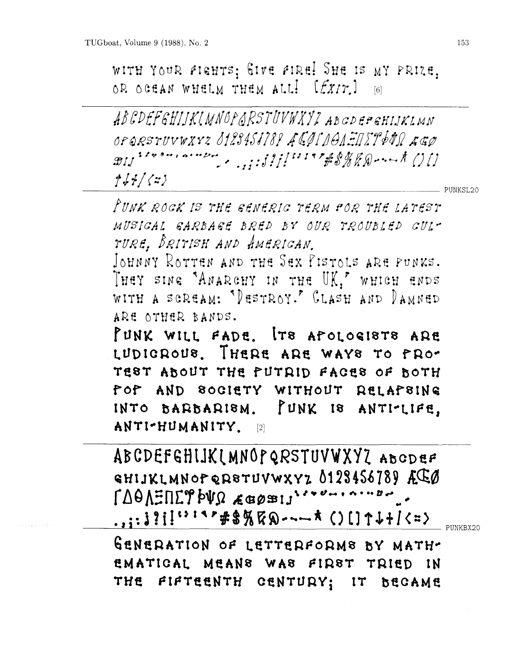WITH YOUR FIGHTS; GIVE FIRE! SHE IS MY PRIZE, OR OCEAN WHELM THEM ALL! [EXIT] [6]

ABCDEFGHIJKIMNOPARSTUVWXYZ ABGDEPGHIJKLMN OPORSTUVWXYZ 8123458189 ACOLDOAENET2640 AGO  $f(f/f/fz)$ 

FUNK ROCK IS THE GENERIC TERM POR THE LATEST MUSICAL GARBAGE BRED BY OUR TROUBLED GULT TURE, BRITISH AND AMERICAN.

JOHNNY ROTTEN AND THE SEX PISTOLS ARE PUNKS. THEY SING "ANARCHY IN THE UK," WHICH ENDS WITH A SCREAM: "DESTROY." CLASH AND DAMNED ARE OTHER BANDS.

PUNK WILL FADE. ITS APOLOGISTS ARE LUDICROUS. THERE ARE WAYS TO PRO-TEST ABOUT THE PUTRID FACES OF BOTH FOF AND SOCIETY WITHOUT RELAPSING INTO BARBARISM. PUNK IS ANTI-LIFE, ANTI-HUMANITY. [2]

ABCDEFGHIJKIMNOPQRSTUVWXYZ ABCDEF GHIJKLMNOPQRSTUVWXYZ 0128456789 ACC い:ヽ'キ\$%℃∞---★ ()[]↑↓+/<=>

PUNKBX20

GENERATION OF LETTERFORMS BY MATH-EMATICAL MEANS WAS FIRST TRIED IN THE FIFTEENTH CENTURY; IT BECAME

PUNKSL20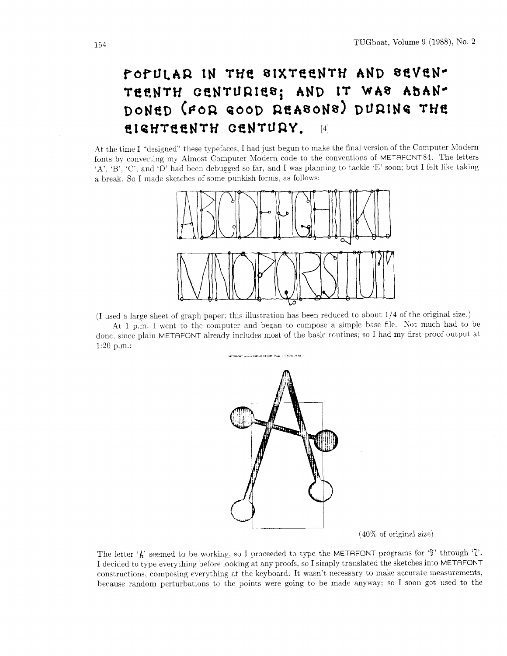# POPULAR IN THE SIXTEENTH AND SEVEN-TEENTH CENTURIES; AND IT WAS ABAN-DONED (FOR GOOD REASONS) DURING THE **EIGHTEENTH CENTURY.** [4]

At the time I "designed" these typefaces, I had just begun to make the final version of the Computer Modern fonts by converting my Almost Computer Modern code to the conventions of METAFONT84. The letters .A', 'B', 'C', and 'D' had been debugged so far. and I was planning to tackle 'E' soon: but I felt like taking a break. So I made sketches of some punkish forms. as follows:



(I used a large sheet of graph paper; this illustration has been reduced to about 114 of the original size.)

At 1 p.m. I went to the computer and began to compose a simple base file. Not much had to be done. since plain METAFONT already includes most of the basic routines; so I had my first proof output at 1:20 p.m.:



(40% of original size)

The letter  $\hat{A}$ ' seemed to be working, so I proceeded to type the METAFONT programs for  $\hat{B}$ ' through  $\hat{B}$ '. I decided to type everything before looking at any proofs, so I simply translated the sketches into METAFONT constructions, composing everything at the keyboard. It wasn't necessary to make accurate measurements, because random perturbations to the points were going to be made anyway; so I soon got used to the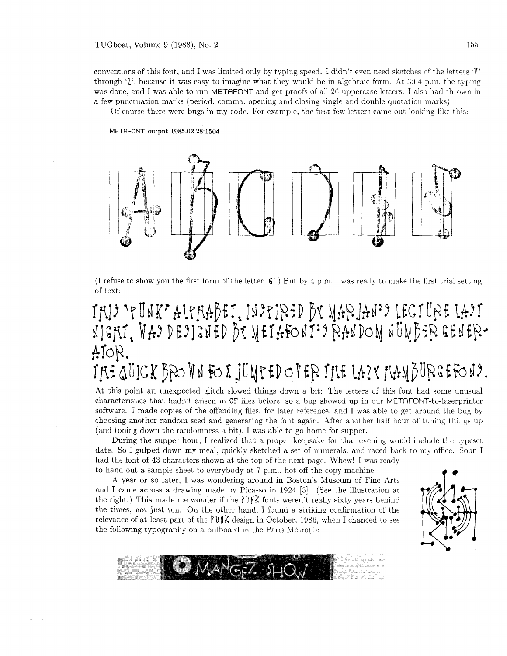#### TUGboat, Volume 9 (1988), No. **2 155**

conventions of this font, and I was limited only by typing speed. I didn't even need sketches of the letters  $\dot{V}$ through '2', because it was easy to imagine what they would be in algebraic form. At 3:04 p.m. the typing was done, and I was able to run METAFONT and get proofs of all 26 uppercase letters. I also had thrown in a few punctuation marks (period, comma. opening and closing single and double quotation marks).

Of course there were bugs in my code. For example, the first few letters came out looking like this:

#### METRFONT **oi~t,ptit 1085.02.28:1504**



(I refuse to show you the first form of the letter *'G'.)* But by 4 p.m. I was ready to make the first trial setting of text:

# INI 'PUNK' ALPHABEI, INIPIRED BY MARJAN'I LECIURE LAIT NIGHI, WAS DESIGNED BY METAFONT'S RANDOM NUMBER GENER-AIOR. THE QUICK BPO WN FO X JUMPED OF ER THE LAZY HAMBURGEFOND.

At this point an unexpected glitch slowed things down a bit: The letters of this font had some unusual characteristics that hadn't arisen in GF files before, so a bug showed up in our METRFONT-to-laserprinter software. I made copies of the offending files, for later reference, and I was able to get around the bug by choosing another random seed and generating the font again. After another half hour of tuning things up (and toning down the randomness a bit), I was able to go home for supper.

During the supper hour, I realized that a proper keepsake for that evening would include the typeset date. So I gulped down my meal, quickly sketched a set of numerals, and raced back to my office. Soon I had the font of 43 characters shown at the top of the next page. Whew! I was ready to hand out a sample sheet to everybody at 7 p.m., hot off the copy machine.

A year or so later, I was wondering around in Boston's Museum of Fine Arts and I came across a drawing made by Picasso in  $1924$  [5]. (See the illustration at the right.) This made me wonder if the  $\frac{p \psi}{k}$  fonts weren't really sixty years behind the times, not just ten. On the other hand, I found a striking confirmation of the relevance of at least part of the PUNK design in October, 1986, when I chanced to see the following typography on a billboard in the Paris  $Métro(!)$ :



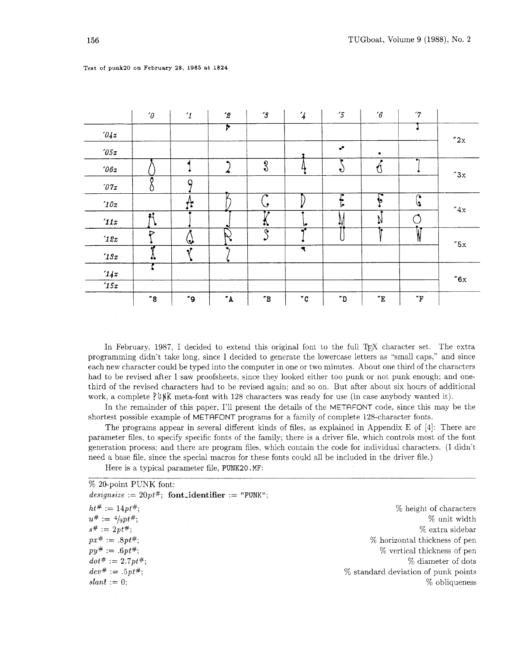|                | $^\prime\!\theta$ | $\mathcal{I}$ | $\mathbf{r}_2$ | $^{\prime}3$         | $\overline{\mathcal{L}}$ | $5\sigma$           | $^\prime 6$   | $\gamma$            |               |
|----------------|-------------------|---------------|----------------|----------------------|--------------------------|---------------------|---------------|---------------------|---------------|
| 04x            |                   |               | F              |                      |                          |                     |               |                     | "2x           |
| 705x           |                   |               |                |                      |                          | $\cdot$             |               |                     |               |
| $\imath_{06x}$ |                   |               |                | $\sqrt[3]{2}$        |                          | ∙∪                  | Ú             | ۰,                  | $''3x$        |
| 7x             |                   | ۵             |                |                      |                          |                     |               |                     |               |
| 10x            |                   | t,            |                | $\bullet$            |                          | r<br>J۴             | $\mathbf{C}$  | G                   | $''4x$        |
| 11x            |                   |               | $\bullet$      | 47                   | ۱e                       | ₩                   |               |                     |               |
| 12x            | $\triangleright$  | $\bf Q$       |                | ক্<br>نہ             |                          |                     | o             |                     | "5x           |
| 13x            | 49                |               |                |                      | $\blacktriangleleft$     |                     |               |                     |               |
| 14x            |                   |               |                |                      |                          |                     |               |                     | $^{\prime}6x$ |
| 15x            |                   |               |                |                      |                          |                     |               |                     |               |
|                | "8"               | "9            | $"$ A $\:$     | $^{\prime} \text{B}$ | $^{\prime}$ C            | $^{\prime\prime}$ D | $^{\prime}$ E | $^\prime\mathrm{F}$ |               |

#### **Test of punk20 on February 28, 1985 at 1824**

In February, 1987, I decided to extend this original font to the full T<sub>F</sub>X character set. The extra programming didn't take long, since I decided to generate the lowercase letters as "small caps.'' and since each new character could be typed into the computer in one or two minutes. About one third of the characters had to be revised after I saw proofsheets, since they looked either too punk or not punk enough; and onethird of the revised characters had to be revised again; and so on. But after about six hours of additional work, a complete  $\lceil \frac{1}{N} \rceil$  meta-font with 128 characters was ready for use (in case anybody wanted it).

In the remainder of this paper, I'll present the details of the METAFONT code, since this may be the shortest possible example of METAFONT programs for a family of complete 128-character fonts.

The programs appear in several different kinds of files, as explained in Appendix E of [4]: There are parameter files. to specify specific fonts of the family; there is a driver file, which controls most of the font generation process; and there are program files. which contain the code for individual characters. (I didn't need a base file, since the special macros for these fonts could all be included in the driver file.)

Here is a typical parameter file, PUNK20. MF:

% 20-point PUNK font:  $designsize := 20pt\#, \text{ font\_identifier} := \text{"PUNK"};$  $ht^{\#} := 14pt^{\#}$ ;  $u^{\#} := 4/9pt^{\#}$ ;  $s^{\#} := 2pt^{\#}$ ;  $px^{\#} := .8pt^{\#}$ ;  $py^{\#} := .6pt^{\#};$  $dot# := 2.7pt$ <sup>#</sup>;  $dev^{\#} := .5pt^{\#}$ ;  $slant := 0$ ; % height of characters % unit width % extra sidebar % horizontal thickness of pen % vertical thickness of pen 9% diameter of dots % standard deviation of punk points % obliqueness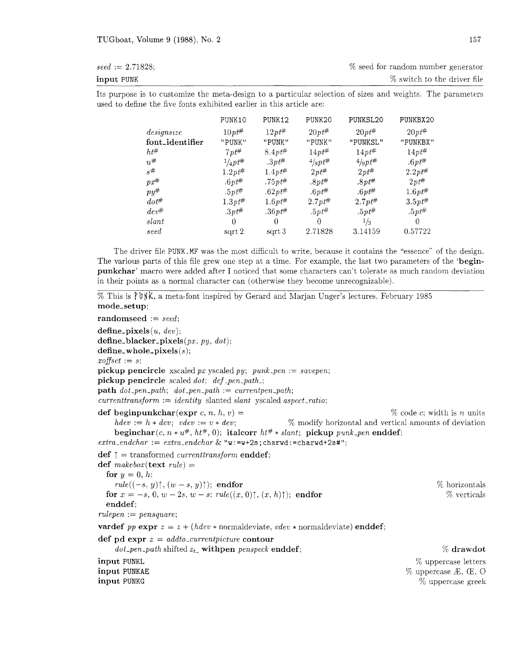| $seed := 2.71828;$ | % seed for random number generator |
|--------------------|------------------------------------|
| input PUNK         | % switch to the driver file        |

Its purpose is to customize the meta-design to a particular selection of sizes and weights. The parameters used to define the five fonts exhibited earlier in this article are:

|                 | PUNK10             | PUNK12       | PUNK20             | PUNKSL20           | PUNKBX20     |
|-----------------|--------------------|--------------|--------------------|--------------------|--------------|
| design size     | $10pt^{\#}$        | $12pt^{\#}$  | $20pt^{\#}$        | $20pt^{\#}$        | $20pt^{\#}$  |
| font_identifier | "PUNK"             | "PUNK"       | "PUNK"             | "PUNKSL"           | "PUNKBX"     |
| $h t^{\#}$      | $7pt^{\#}$         | $8.4pt^{\#}$ | $14pt^{\#}$        | $14pt^{\#}$        | $14pt^{\#}$  |
| $u^{\#}$        | $^{1}/_{4}pt^{\#}$ | $.3pt^{\#}$  | $^{4}/_{9}pt^{\#}$ | $^{4}/_{9}pt^{\#}$ | $.6pt^{\#}$  |
| $s^{\#}$        | $1.2pt^{\#}$       | $1.4pt^{\#}$ | $2pt^{\#}$         | $2pt^{\#}$         | $2.2pt^{\#}$ |
| $px^{\#}$       | $.6pt^{\#}$        | .75pt#       | $.8pt^{\#}$        | $.8pt^{\#}$        | $2pt^{\#}$   |
| $py^{\#}$       | $.5pt^{\#}$        | $.62pt^{\#}$ | $.6pt^{\#}$        | $.6pt^{\#}$        | $1.6pt^{\#}$ |
| $dot^{\#}$      | $1.3pt^{\#}$       | $1.6pt^{\#}$ | $2.7pt^{\#}$       | $2.7pt^{\#}$       | $3.5pt^{\#}$ |
| $dev^{\#}$      | $.3pt^{\#}$        | .36pt#       | $.5pt^{\#}$        | $.5pt^{\#}$        | $.5pt^{\#}$  |
| slant           | 0                  | 0            | $\theta$           | $\frac{1}{3}$      | $\theta$     |
| seed            | sqrt 2             | sqrt 3       | 2.71828            | 3.14159            | 0.57722      |

The driver file **PUNK.MF** was the most difficult to write, because it contains the "essence" of the design. The various parts of this file grew one step at a time. For example, the last two parameters of the *'beginpunkchar'* macro were added after I noticed that some characters can't tolerate as much random deviation in their points as a normal character can (otherwise they become unrecognizable).

```
% This is P bvk. a meta-font inspired by Gerard and Marjan Unger's lectures. February 1985 
mode-setup; 
randomseed := seed: 
define\_pixels(u, dev);define-blacker-pixels (px. py, dot): 
define-whole-pixels (s) ; 
x \text{ of } f \text{ set } := s;
pickup pencircle xscaled px yscaled py; punk-pen := savepen; 
pickup pencircle scaled dot: def -pen-path-; 
path\ dot\_pen\_path;\ dot\_pen\_path := currentpen\_path;current transform := identity slanted slant yscaled aspect_ratio;
def beginpunkchar(expr c, n, h, v) = \% code c; width is n units
    hdev := h \ast dev; vdev := v \ast dev; \% modify horizontal and vertical amounts of deviation
    beginchar(c, n * u^{\#}, ht^{\#}, 0); italcorr ht^{\#} * slant; pickup punk_pen enddef;
extra\_endchar := extra\_endchar \& "w := w + 2s; charwd := charwd + 2s<sup>#</sup>";
def j = transformed currenttransform enddef; 
def makebox(text rule) = 
  for y = 0, h:
    rule((-s, y)\uparrow, (w - s, y)\uparrow); endfor
  for x = -s, 0, w - 2s, w - s: rule((x, 0), (x, h),); endfor
  enddef; 
rulepen := pensquare; 
vardef pp \exp r z = z + (hdev * normaldeviate, vdev * normaldeviate) \textbf{enddef};def pd expr z = addto-currentpicture contour 
     dot_pen_path shifted z_t<sub>-</sub> withpen penspeck enddef;
                                                                                               % horizontals 
                                                                                                 % verticals 
                                                                                                % drawdot 
input PUNKL 
input PUNKAE 
input PUNKG 
                                                                                         % uppercase letters 
                                                                                      % uppercase E. CE. 0 
                                                                                          % uppercase greek
```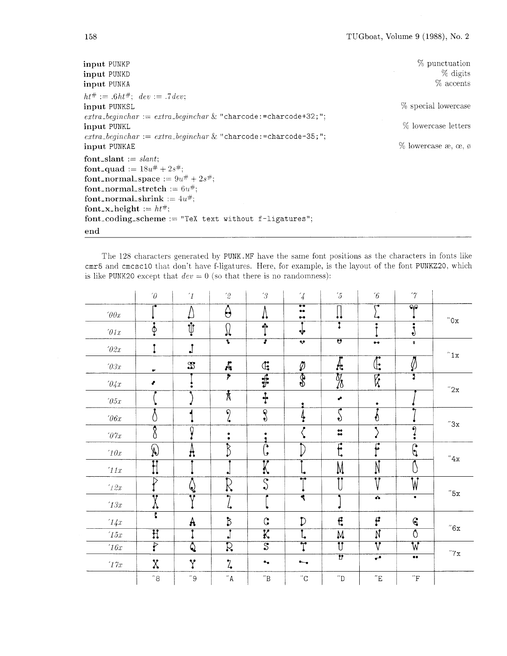| input PUNKP<br>input PUNKD<br>input PUNKA                                                                                                                                                                                                                                                                                                                                                                                                                                                                                                                                                                                                                                                                                                                                                                                                                                                                                                                                                                                                                                                                                                                                                                                                                                                                                                                                                                                                                                                                                                                                                 | % punctuation<br>$%$ digits<br>$%$ accents                           |
|-------------------------------------------------------------------------------------------------------------------------------------------------------------------------------------------------------------------------------------------------------------------------------------------------------------------------------------------------------------------------------------------------------------------------------------------------------------------------------------------------------------------------------------------------------------------------------------------------------------------------------------------------------------------------------------------------------------------------------------------------------------------------------------------------------------------------------------------------------------------------------------------------------------------------------------------------------------------------------------------------------------------------------------------------------------------------------------------------------------------------------------------------------------------------------------------------------------------------------------------------------------------------------------------------------------------------------------------------------------------------------------------------------------------------------------------------------------------------------------------------------------------------------------------------------------------------------------------|----------------------------------------------------------------------|
| $ht^{\#} := .6ht^{\#}; \ dev := .7dev;$<br>input PUNKSL<br>$extra\text{-}beginchar := extra\text{-}beginchar \& "characteration" for the input, and the output is a number of the input. The output is a number of the input. The output is a number of the input. The output is a number of the input. The output is a number of the input. The output is a number of the input. The output is a number of the input. The output is a number of the input. The output is a number of the input. The output is a number of the input. The output is a number of the input. The output is a number of the input. The output is a number of the input. The output is a number of the input. The output is a number of the input. The output is a number of the input. The output is a number of the input. The output is a number of the input. The output is a number of the input. The output is a number of the input. The output is a number of the input. The output is a number$<br>input PUNKL<br>$extra\text{-}beginchar := extra\text{-}beginchar \& "characteration" and "characteration" is a 5; "; "characteration" is a 5; "incomplete" and a 5; "incomplete" is a 5; "incomplete" is a 5; "incomplete" is a 5; "incomplete" is a 5; "incomplete" is a 5; "incomplete" is a 5; "incomplete" is a 5; "incomplete" is a 5; "incomplete" is a 5; "incomplete" is a 5; "incomplete" is a 5; "incomplete" is a 5; "incomplete" is a 5; "incomplete" is a 5; "incomplete" is a 5; "incomplete" is a 5; "incomplete" is a 5; "incomplete" is a 5; "incomplete" is a $<br>input PUNKAE | % special lowercase<br>% lowercase letters<br>$\%$ lowercase æ, œ, ø |
| font_slant := $slant$ :<br>font_quad := $18u^{\#} + 2s^{\#}$ ;<br>font_normal_space := $9u^{\#} + 2s^{\#}$ ;<br>font_normal_stretch := $6u^{\#}$ ;<br>font_normal_shrink := $4u^{\#}$ ;<br>font_x_height := $ht^{\#}$ ;<br>$font_coding_scheme := "Text text without f-ligatures";$                                                                                                                                                                                                                                                                                                                                                                                                                                                                                                                                                                                                                                                                                                                                                                                                                                                                                                                                                                                                                                                                                                                                                                                                                                                                                                       |                                                                      |
| end                                                                                                                                                                                                                                                                                                                                                                                                                                                                                                                                                                                                                                                                                                                                                                                                                                                                                                                                                                                                                                                                                                                                                                                                                                                                                                                                                                                                                                                                                                                                                                                       |                                                                      |

The *128* characters generated by PUNK .MF have the same font positions as the characters in fonts like cmr5 and cmcsclO that don't have f-ligatures. Here, for example, is the layout of the font PUNKZ20, which is like PUNK20 except that  $dev = 0$  (so that there is no randomness):

|                       | $\theta$                     | $\mathcal{I}$           | $^{\prime}2$             | $\mathcal{C}$                                     | $\frac{7}{4}$                                                | $5^{\circ}$                  | $\sqrt[6]{6}$            | $\gamma$                 |                       |
|-----------------------|------------------------------|-------------------------|--------------------------|---------------------------------------------------|--------------------------------------------------------------|------------------------------|--------------------------|--------------------------|-----------------------|
| $\sqrt{v}$            |                              | Δ                       | $\Theta$                 | Λ                                                 | $\overline{\bullet}$<br>$\bullet\bullet$<br>$\bullet\bullet$ | 11                           | ت<br>↳                   | $\overline{\bullet}$     | $^{\prime\prime}$ Ox  |
| $^\prime\!\theta 1x$  | $\phi$                       | $\overline{\psi}$       | $\Omega$                 | ♠                                                 | Ÿ                                                            | Ī                            |                          | ٠<br>9                   |                       |
| $\sqrt{0}2x$          |                              | $\mathbf{J}$            | $\overline{\cdot}$       | 7                                                 | $\overline{\mathbf{v}}$                                      | $\overline{\mathbf{v}}$      | $\bullet\bullet$         | Ŷ                        |                       |
| $\rlap{.}{\prime}03x$ | $\bullet$                    | $\mathbb{S}$            | $\mathcal{A}_\mathbf{t}$ | $\mathbb{G}$                                      | $\varnothing$                                                | $\overline{\textrm{A}}$      | $\overline{\mathbb{C}}$  | $\emptyset$              | "1x"                  |
| $\partial \sqrt{2}x$  | $\bullet$                    |                         | $\overline{r}$           | $\overline{\mathbf{\ddot{\ddot{\ddot{\bf{r}}}}}}$ | $\overline{\$\}$                                             | $\frac{1}{\sqrt{2}}$         | $\overline{\mathbb{K}}$  | T                        |                       |
| $\sqrt{05x}$          |                              |                         | $\mathbf{\overline{X}}$  | $\ddot{\ddot{\cdot}}$                             |                                                              | م                            |                          |                          | $^{\prime\prime}2x$   |
| $\theta$ 6x           | ( )                          |                         | $\overline{9}$<br>4      | $\overline{\mathcal{S}}$                          | 4                                                            | ۴<br>$\bullet$               | €                        |                          |                       |
| $\it 07x$             | Ŷ<br>0                       | $\overline{0}$          | ٠<br>$\bullet$           | ٠                                                 | ٠                                                            | $\frac{49}{40}$              | ٩                        | $\bullet$                | "3x                   |
| $^\prime 10x$         | $\Omega$                     | A                       | $\overline{\mathcal{B}}$ | ∩<br>ىا                                           |                                                              | $\overline{\mathbf{f}}$      | $\overline{\mathbf{r}}$  | ∩<br>þ                   |                       |
| $^\prime 11x$         | $\overline{\mathrm{H}}$      |                         | ٠ŧ                       | K                                                 | L۵                                                           | M                            | $\overline{\mathsf{N}}$  |                          | $^{\prime\prime}4x$   |
| $^\prime\!12x$        | $\triangleright$             | $\mathbb{Q}$            | $\overline{\mathcal{R}}$ | $\overline{\mathcal{S}}$                          | $\bullet_1 \bullet$                                          | 99                           | $\overline{V}$           | $\overline{\mathsf{W}}$  |                       |
| $^\prime 13x$         | $\overline{\mathbf{v}}$<br>Λ | Ŧ                       | 7                        |                                                   | $\overline{\blacktriangleleft}$                              |                              | ᢌ                        |                          | $^{\prime\prime}5x$   |
| '14x                  | $\overline{\cdot}$           | A                       | $\beta$                  | $\mathcal{C}$                                     | $\mathcal{D}$                                                | Ę                            | f                        | $\epsilon$               |                       |
| $^\prime 15x$         | Ħ                            | ٠                       | $\mathbf{J}$             | K                                                 | L,                                                           | ${\sf M}$                    | $\overline{\mathbb{N}}$  | $\overline{\mathbb{O}}$  | $^{\prime\prime}6x$   |
| $^\prime16x$          | $\overline{\mathrm{F}}$      | $\overline{\mathsf{Q}}$ | $\overline{\mathcal{R}}$ | $\overline{\mathcal{S}}$                          | $\overline{\text{T}}$                                        | $\overline{\mathbf{U}}$      | $\overline{\text{v}}$    | $\overline{\mathsf{W}}$  | $^{\prime\prime}$ 7 x |
| $^\prime 17x$         | $\chi$                       | Y                       | $\mathcal{I}_{\bullet}$  | $\bullet_\bullet$                                 | $\overline{\phantom{a}}$                                     | $\overline{v}$               | $\overline{\phantom{a}}$ | $\bullet \bullet$        |                       |
|                       | $^{\prime\prime}8$           | $^{\prime\prime}$ 9     | $^{\prime\prime}$ A      | $^{\prime\prime}{\rm B}$                          | $^{\prime\prime}{\rm C}$                                     | $^{\prime\prime} \mathrm{D}$ | $^{\prime\prime}{\rm E}$ | $^{\prime\prime}{\rm F}$ |                       |

158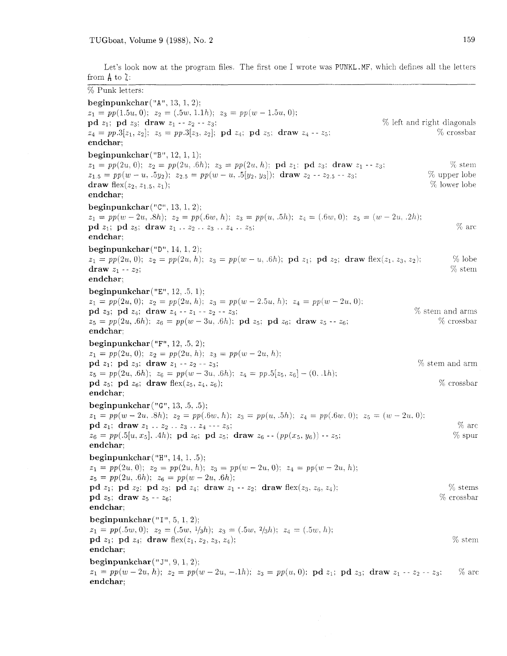Let's look now at the program files. The first one I wrote was PUNKL.MF, which defines all the letters from **A** to 2:

% Punk letters: beginpunkchar **("A",** 13, 1, 2):  $z_1 = pp(1.5u, 0); z_2 = (.5w, 1.1h); z_3 = pp(w - 1.5u, 0);$ **pd**  $z_1$ ; **pd**  $z_3$ ; **draw**  $z_1 - z_2 - z_3$ ;<br>  $z_4 = pp.3[z_1, z_2]$ ;  $z_5 = pp.3[z_3, z_2]$ ; **pd**  $z_4$ ; **pd**  $z_5$ ; **draw**  $z_4 - z_5$ ;  $z_6$  **c**  $z_7$ ;  $z_8$  **crossbar**  $z_4= pp.3[z_1, z_2]; z_5= pp.3[z_3, z_2]; \textbf{pd } z_4; \textbf{pd } z_5; \textbf{draw } z_4 - z_5;$ endchar; beginpunkchar  $("B", 12, 1, 1);$  $z_1 = pp(2u,0);$   $z_2 = pp(2u,6h);$   $z_3 = pp(2u,h);$   $pd\ z_1;$   $pd\ z_3;$  draw  $z_1 - z_3;$  % stem  $z_{1.5} = pp(w - u, .5y_2); z_{2.5} = pp(w - u, .5[y_2, y_3]);$  draw  $z_2 - z_{2.5} - z_3;$  % upper lobe draw flex( $z_2$ ,  $z_1$ ,  $z_1$ ):  $z_2$ draw flex $(z_2, z_{1.5}, z_1);$ endchar; beginpunkchar("C", 13. 1. 2);  $z_1 = pp(w - 2u, .8h); z_2 = pp(.6w, h); z_3 = pp(u, .5h); z_4 = (.6w, 0); z_5 = (w - 2u, .2h);$ **pd**  $z_1$ ; **pd**  $z_5$ ; **draw**  $z_1 \, . \, z_2 \, . \, z_3 \, . \, z_4 \, . \, z_5$ ;  $\%$  arc endchar: beginpunkchar $($ "D", 14, 1, 2);  $z_1 = pp(2u, 0);$   $z_2 = pp(2u, h);$   $z_3 = pp(w - u, .6h);$   $pd\ z_1;$   $pd\ z_2;$   $draw \ flex(z_1, z_3, z_2);$  % lobe  $draw\ z_1 - z_2;$  % stem draw  $z_1 - z_2$ ; endchar: beginpunkchar $("E", 12, .5, 1);$  $z_1 = pp(2u, 0); z_2 = pp(2u, h); z_3 = pp(w - 2.5u, h); z_4 = pp(w - 2u, 0);$ pd  $z_3$ ; pd  $z_4$ ; draw  $z_4 - z_1 - z_2 - z_3$ ; % stem and arm 5% crossbar  $z_5 = pp(2u, .6h); z_6 = pp(w-3u, .6h); \textbf{pd } z_5; \textbf{pd } z_6; \textbf{draw } z_5 - z_6;$ endchar: beginpunkchar $("F", 12, .5, 2);$  $z_1 = pp(2u, 0); z_2 = pp(2u, h); z_3 = pp(w - 2u, h);$ pd  $z_1$ ; pd  $z_3$ ; draw  $z_1 - z_2 - z_3$ ;  $%$  stem and arm  $z_5 = pp(2u, .6h); \; z_6 = pp(w - 3u, .6h); \; z_4 = pp.5[z_5, z_6] - (0, .1h);$ % crossbar pd  $z_5$ ; pd  $z_6$ ; draw flex( $z_5$ ,  $z_4$ ,  $z_6$ ); endchar; beginpunkchar $("G", 13, .5, .5);$  $z_1 = pp(w - 2u, .8h);$   $z_2 = pp(.6w, h);$   $z_3 = pp(u, .5h);$   $z_4 = pp(.6w, 0);$   $z_5 = (w - 2u, 0);$ **pd**  $z_1$ ; draw  $z_1 \tcdot z_2 \tcdot z_3 \tcdot z_4 \tcdot z_5$ ;<br>  $z_6 = pp(.5[u, x_5], 4h)$ ; **pd**  $z_6$ ; **pd**  $z_5$ ; draw  $z_6$  --  $(pp(x_5, y_6))$  --  $z_5$ ;  $\%$  spur  $z_6 = pp(.5[u, x_5], .4h);$  pd  $z_6$ ; pd  $z_5$ ; draw  $z_6 - (pp(x_5, y_6)) - z_5;$ endchar: beginpunkchar $("H", 14, 1, .5);$  $z_1 = pp(2u, 0); \ z_2 = pp(2u, h); \ z_3 = pp(w - 2u, 0); \ z_4 = pp(w - 2u, h);$  $z_5 = pp(2u, .6h); z_6 = pp(w - 2u, .6h);$ % sterns pd  $z_1$ ; pd  $z_2$ ; pd  $z_3$ ; pd  $z_4$ ; draw  $z_1 - z_2$ ; draw flex( $z_3$ ,  $z_6$ ,  $z_4$ ); pd  $z_5$ ; draw  $z_5 - z_6$ ; '% crossbar endchar: beginpunkchar (" I", *5.* 1. 2):  $z_1 = pp(.5w, 0); z_2 = (.5w, \frac{1}{3}h); z_3 = (.5w, \frac{2}{3}h); z_4 = (.5w, h);$ pd  $z_1$ ; pd  $z_4$ ; draw flex $(z_1, z_2, z_3, z_4)$ ;  $%$  stem endchar: beginpunkchar $($ " J", 9, 1, 2):  $z_1 = pp(w-2u, h); z_2 = pp(w-2u, -1h); z_3 = pp(u, 0); \textbf{pd } z_1; \textbf{pd } z_3; \textbf{ draw } z_1 - z_2 - z_3;$  % arc endchar: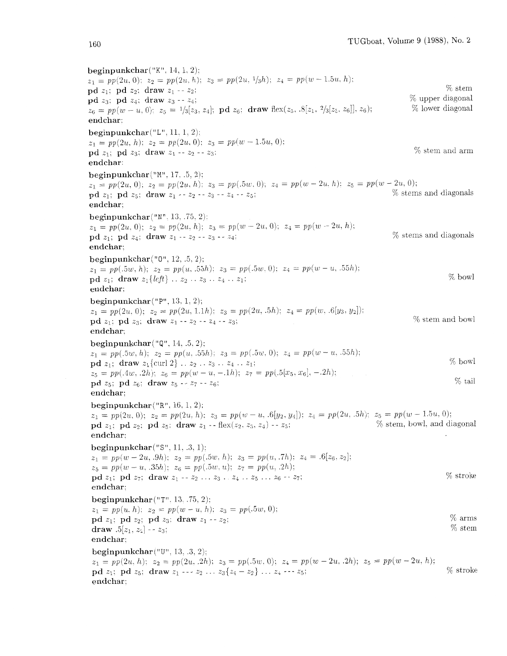beginpunkchar $("K", 14, 1, 2);$  $z_1 = pp(2u, 0); \ z_2 = pp(2u, h); \ z_3 = pp(2u, 1/3h); \ z_4 = pp(w - 1.5u, h);$ pd  $z_1$ ; pd  $z_2$ : draw  $z_1 - z_2$ ;  $\%$  stem pd  $z_3$ ; pd  $z_4$ ; draw  $z_3 - z_4$ ;  $\%$  upper diagonal  $z_6 = pp(w - u, 0);$   $z_5 = \frac{1}{3}[z_3, z_4];$  **pd**  $z_6;$  **draw** flex $(z_5, .8[z_1, 2/3[z_5, z_6]], z_6);$  % lower diagonal endchar: beginpunkchar $("L", 11, 1, 2);$  $z_1 = pp(2u, h): z_2 = pp(2u, 0); z_3 = pp(w-1.5u, 0);$ pd  $z_1$ ; pd  $z_3$ ; draw  $z_1 - z_2 - z_3$ ; endchar: 9% stem and arm beginpunkchar $("M", 17, .5, 2);$  $z_1 = pp(2u, 0); z_2 = pp(2u, h); z_3 = pp(.5w, 0); z_4 = pp(w - 2u, h); z_5 = pp(w - 2u, 0);$ pd  $z_1$ : pd  $z_5$ : draw  $z_1 - z_2 - z_3 - z_4 - z_5$ :  $\%$  stems and diagonals endchar: beginpunkchar("N". 13. .75. 2).  $z_1 = pp(2u, 0); z_2 = pp(2u, h); z_3 = pp(w - 2u, 0); z_4 = pp(w - 2u, h);$ pd  $z_1$ ; pd  $z_4$ ; draw  $z_1 - z_2 - z_3 - z_4$ ;  $\%$  stems and diagonals endchar: beginpunkchar("0", 12, .5, 2);  $z_1 = pp(.5w, h); z_2 = pp(u, .55h); z_3 = pp(.5w, 0); z_4 = pp(w - u, .55h);$ pd  $z_1$ ; draw  $z_1$ {*left*} . .  $z_2$  . .  $z_3$  . .  $z_4$  . .  $z_1$ ; endchar: % bowl beginpunkchar $("P", 13, 1, 2);$  $z_1 = pp(2u, 0); \ z_2 = pp(2u, 1.1h); \ z_3 = pp(2u, .5h); \ z_4 = pp(w, .6[y_3, y_2]);$ pd  $z_1$ : pd  $z_3$ ; draw  $z_1 - z_2 - z_4 - z_3$ ;  $\%$  stem and bowl endchar: beginpunkchar $($ " $Q$ ", 14, .5, 2);  $z_1 = pp(.5w, h); z_2 = pp(u, .55h); z_3 = pp(.5w, 0); z_4 = pp(w - u, .55h);$  $\mathbf{p}\mathbf{d} z_1$ ; draw  $z_1$ {curl 2} . .  $z_2$  . .  $z_3$  . .  $z_4$  . .  $z_1$ ;  $z_5 = pp(.4w, .2h); z_6 = pp(w-u, -.1h); z_7 = pp(.5[x_5, x_6], -.2h);$ pd  $z_5$ ; pd  $z_6$ ; draw  $z_5 - z_7 - z_6$ ; endchar: 94 bowl % tail beginpunkchar("R". 16. 1. 2):  $z_1 = pp(2u, 0); z_2 = pp(2u, h); z_3 = pp(w-u, .6[y_2, y_4]); z_4 = pp(2u, .5h); z_5 = pp(w - 1.5u, 0);$ <br> **od**  $z_1$ : **od**  $z_2$ : **od**  $z_3$ : **draw**  $z_1$  -- flex( $z_2$ ,  $z_3$ ,  $z_4$ ) --  $z_5$ :  $z_6$ : % stem, bowl, and diagonal pd  $z_1$ : pd  $z_2$ ; pd  $z_5$ : draw  $z_1$  -- flex( $z_2$ ,  $z_3$ ,  $z_4$ ) --  $z_5$ ; endchar: beginpunkchar $("S", 11, .3, 1);$  $z_1 = pp(w - 2u, .9h); z_2 = pp(.5w, h); z_3 = pp(u, .7h); z_4 = .6[z_6, z_2];$  $z_5 = pp(w - u, .35h); z_6 = pp(.5w, u); z_7 = pp(u, .2h);$ pd  $z_1$ ; pd  $z_7$ ; draw  $z_1 - z_2 ... z_3 ... z_4 ... z_5 ... z_6 - z_7$ ; endchar: beginpunkchar ("T". 13. .75. 2):  $z_1 = pp(u, h); z_2 = pp(w - u, h); z_3 = pp(.5w, 0);$ pd  $z_1$ ; pd  $z_2$ ; pd  $z_3$ ; draw  $z_1 - z_2$ ; draw  $.5[z_1, z_2] - z_3$ ; endchar: % stroke % arms % stem beginpunkchar("U", 13, .3, 2); **beginpunkchar** ("U", 13, .3, 2);<br>  $z_1 = pp(2u, h);$   $z_2 = pp(2u, .2h);$   $z_3 = pp(.5w, 0);$   $z_4 = pp(w - 2u, .2h);$   $z_5 = pp(w - 2u, h);$  $p_1 = pp(2u, h);$   $z_2 = pp(2u, .2h);$   $z_3 = pp(.5w, 0);$   $z_4 = pp(w - 2u, .2h);$   $z_5 = pp(w - 2u, h);$ <br>  $p_1z_5;$   $p_2z_5;$   $p_3z_6;$   $p_4z_7;$   $p_5z_8;$   $p_6z_7;$   $p_7z_8;$   $p_8z_9;$   $p_7z_9;$   $p_8z_9;$   $p_7z_9;$   $p_8z_9;$   $p_7z_9;$   $p_8z_9;$  endchar: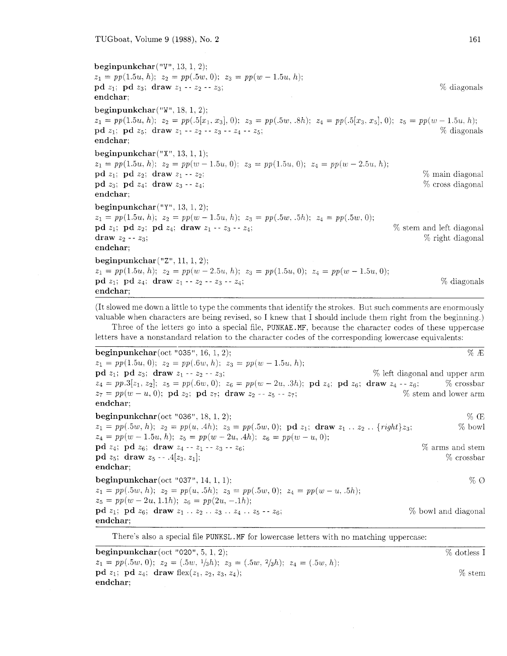beginpunkchar("V", 13, 1. 2):  $z_1 = pp(1.5u, h); z_2 = pp(.5w, 0); z_3 = pp(w - 1.5u, h);$ pd  $z_1$ ; pd  $z_3$ ; draw  $z_1 - z_2 - z_3$ ; endchar: beginpunkchar ("W", 18. 1. 2):  $z_1 = pp(1.5u, h);$   $z_2 = pp(.5[x_1, x_3], 0);$   $z_3 = pp(.5w, .8h);$   $z_4 = pp(.5[x_3, x_5], 0);$   $z_5 = pp(w - 1.5u, h);$ <br>  $pd z_1;$   $pd z_5;$   $draw z_1 - z_2 - z_3 - z_4 - z_5;$ pd  $z_1$ ; pd  $z_5$ ; draw  $z_1 - z_2 - z_3 - z_4 - z_5$ ; endchar; beginpunkchar $("X", 13, 1, 1);$  $z_1 = pp(1.5u, h);$   $z_2 = pp(w - 1.5u, 0);$   $z_3 = pp(1.5u, 0);$   $z_4 = pp(w - 2.5u, h);$ pd  $z_1$ ; pd  $z_2$ ; draw  $z_1 - z_2$ :  $\%$  main diagonal pd  $z_3$ ; pd  $z_4$ ; draw  $z_3 - z_4$ ;  $\%$  cross diagonal endchar: beginpunkchar $("Y", 13, 1, 2);$  $z_1 = pp(1.5u, h); z_2 = pp(w - 1.5u, h); z_3 = pp(.5w, .5h); z_4 = pp(.5w, 0);$ pd  $z_1$ ; pd  $z_2$ ; pd  $z_4$ ; draw  $z_1 - z_3 - z_4$ ;  $\%$  stem and left diagonal draw  $z_2$  -  $z_3$ ;  $\%$  right diagonal endchar; beginpunkchar  $("Z", 11, 1, 2);$  $z_1 = pp(1.5u, h); z_2 = pp(w - 2.5u, h); z_3 = pp(1.5u, 0); z_4 = pp(w - 1.5u, 0);$ **pd**  $z_1$ ; **pd**  $z_4$ ; **draw**  $z_1 - z_2 - z_3 - z_4$ ;  $\%$  diagonals endchar;

(It slowed me down a little to type the comments that identify the strokes. But such comments are enormously valuable when characters are being revised, so I knew that I should include than right from the beginning.)

Three of the letters go into a special file, PUNKAE.MF, because the character codes of these uppercase letters have a nonstandard relation to the character codes of the corresponding lowercase equivalents:

**beginpunkchar**(oct "035", 16, 1, 2);  $\% E$  $z_1 = pp(1.5u, 0); ~ z_2 = pp(.6w, h); ~ z_3 = pp(w - 1.5u, h);$ pd  $z_1$ ; pd  $z_3$ ; draw  $z_1 - z_2 - z_3$ ;  $\%$  left diagonal and upper arm  $z_4 = pp.3[z_1, z_2]; z_5 = pp(.6w, 0); z_6 = pp(w - 2u, .3h); \mathbf{p}d z_4; \mathbf{p}d z_6; \mathbf{draw} z_4 - z_6;$  % crossbar  $z_7 = pp(w - u, 0); \mathbf{p}d z_2; \mathbf{p}d z_7; \mathbf{draw} z_2 - z_5 - z_7;$  % stem and lower arm  $z_7 = pp(w-u, 0);$  pd  $z_2;$  pd  $z_7;$  draw  $z_2 - z_5 - z_7;$ endchar: **beginpunkchar** (oct "036", 18, 1, 2);  $\%$  CE  $z_1 = pp(.5w, h); z_2 = pp(u, 4h); z_3 = pp(.5w, 0); \textbf{pd } z_1; \textbf{ draw } z_1 \ldots z_2 \ldots \{rightz_2 \}$  .  $\{rightz_3;$  % bowl  $z_4 \, = \, pp(w-1.5u, \, h); \;\; z_5 \, = \, pp(w-2u, \, .4h); \;\; z_6 \, = \, pp(w-u, \, 0);$ **pd**  $z_4$ ; **pd**  $z_6$ ; **draw**  $z_4 - z_1 - z_3 - z_6$ ;  $\%$  arms and stem pd  $z_5$ ; draw  $z_5$  -- .4[ $z_3$ ,  $z_1$ ];  $\%$  crossbar endchar; **beginpunkchar**(oct "037", 14, 1, 1):  $\%$   $\emptyset$  $z_1 = pp(.5w, h); z_2 = pp(u, .5h); z_3 = pp(.5w, 0); z_4 = pp(w - u, .5h);$  $z_5 = pp(w - 2u, 1.1h); z_6 = pp(2u, -1h);$ pd  $z_1$ ; pd  $z_6$ ; draw  $z_1 \ldots z_2 \ldots z_3 \ldots z_4 \ldots z_5 - z_6$ ;  $\%$  bowl and diagonal endchar:

There's also a special file PUNKSL. MF for lowercase letters with no matching uppercase:

**beginpunkchar**(oct "020", 5, 1, 2);  $\%$  dotless I  $z_1 = pp(.5w, 0); z_2 = (.5w, \frac{1}{3}h); z_3 = (.5w, \frac{2}{3}h); z_4 = (.5w, h);$ pd  $z_1$ ; pd  $z_4$ ; draw flex( $z_1$ ,  $z_2$ ,  $z_3$ ,  $z_4$ );  $\%$  stem endchar: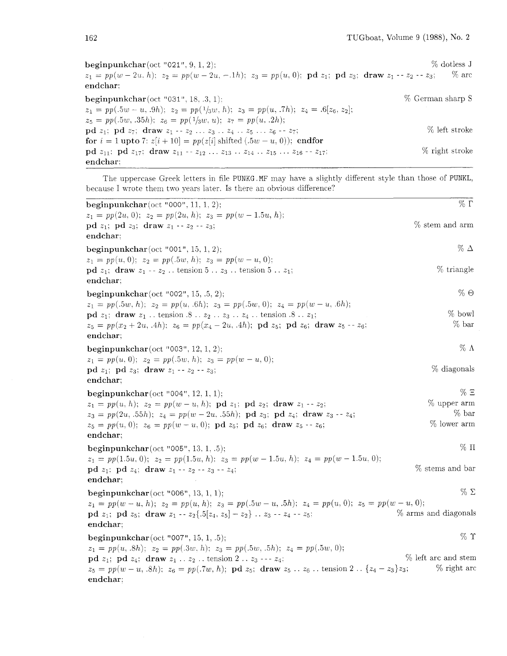beginpunkchar (oct "021",  $9, 1, 2$ );  $\%$  dotless J  $z_1 = pp(w-2u, h); z_2 = pp(w-2u, -1h); z_3 = pp(u, 0); \textbf{pd } z_1; \textbf{pd } z_3; \textbf{ draw } z_1 - z_2 - z_3;$  % arc endchar:

**beginpunkchar** (oct "031", 18, .3, 1):  $\%$  German sharp S  $z_1 = pp(.5w - u, .9h); z_2 = pp(1/3w, h); z_3 = pp(u, .7h); z_4 = .6[z_6, z_2];$  $z_5 = pp(.5w, .35h); z_6 = pp(1/3w, u); z_7 = pp(u, .2h);$ pd  $z_1$ ; pd  $z_7$ ; draw  $z_1 - z_2 ... z_3 ... z_4 ... z_5 ... z_6 - z_7$ ; % left stroke for  $i = 1$  upto 7:  $z[i + 10] = pp(z[i] \text{ shifted } (.5w - u, 0));$  endfor pd  $z_{11}$ : pd  $z_{17}$ ; draw  $z_{11} - z_{12} \ldots z_{13} \ldots z_{14} \ldots z_{15} \ldots z_{16} - z_{17}$ ; % right stroke endchar:

The uppercase Greek letters in file PUNKG .MF may have a slightly different style than those of PUNKL, because I wrote them two years later. Is there an obvious difference?

| beginpunkchar(oct "000", $11, 1, 2$ );                                                                                                                                                          | $\%$ $\Gamma$        |
|-------------------------------------------------------------------------------------------------------------------------------------------------------------------------------------------------|----------------------|
| $z_1 = pp(2u, 0); z_2 = pp(2u, h); z_3 = pp(w - 1.5u, h);$                                                                                                                                      |                      |
| $\mathbf{p}\mathbf{d} z_1$ ; $\mathbf{p}\mathbf{d} z_3$ ; draw $z_1 - z_2 - z_3$ ;                                                                                                              | $%$ stem and arm     |
| $\hspace{0.0cm}\textbf{end}$ char;                                                                                                                                                              |                      |
| beginpunkchar $(oct "001", 15, 1, 2);$                                                                                                                                                          | $\%$ $\Delta$        |
| $z_1 = pp(u, 0); z_2 = pp(.5w, h); z_3 = pp(w - u, 0);$                                                                                                                                         |                      |
| $\mathbf{p}\mathbf{d}$ $z_1$ ; $\mathbf{d}$ raw $z_1 - z_2$ tension $5 \ldots z_3$ tension $5 \ldots z_1$ ;                                                                                     | $%$ triangle         |
| endchar;                                                                                                                                                                                        |                      |
| beginpunkchar(oct "002", 15, .5, 2);                                                                                                                                                            | $% \Theta$           |
| $z_1 = pp(.5w, h); z_2 = pp(u, .6h); z_3 = pp(.5w, 0); z_4 = pp(w-u, .6h);$                                                                                                                     |                      |
| <b>pd</b> $z_1$ ; <b>draw</b> $z_1$ tension .8 $z_2$ $z_3$ $z_4$ tension .8 $z_1$ ;                                                                                                             | % bowl               |
| $z_5 = pp(x_2 + 2u, .4h); z_6 = pp(x_4 - 2u, .4h); \textbf{pd } z_5; \textbf{pd } z_6; \textbf{ draw } z_5 - z_6;$                                                                              | % bar                |
| endchar;                                                                                                                                                                                        |                      |
| beginpunkchar(oct "003", 12, 1, 2);                                                                                                                                                             | $\%$ $\Lambda$       |
| $z_1 = pp(u, 0); z_2 = pp(.5w, h); z_3 = pp(w - u, 0);$                                                                                                                                         |                      |
| $pd z_1$ ; $pd z_3$ ; draw $z_1 - z_2 - z_3$ ;                                                                                                                                                  | $%$ diagonals        |
| endchar;                                                                                                                                                                                        |                      |
| beginpunkchar(oct "004", 12, 1, 1);                                                                                                                                                             | $\% \equiv$          |
| $z_1 = pp(u, h); z_2 = pp(w-u, h);$ pd $z_1;$ pd $z_2;$ draw $z_1 - z_2;$                                                                                                                       | $%$ upper arm        |
| $z_3 = pp(2u, .55h); z_4 = pp(w-2u, .55h); \textbf{pd } z_3; \textbf{pd } z_4; \textbf{ draw } z_3 - z_4;$                                                                                      | $%$ bar              |
| $z_5 = pp(u, 0); z_6 = pp(w-u, 0); \textbf{p}d z_5; \textbf{p}d z_6; \textbf{draw} z_5 - z_6;$                                                                                                  | $%$ lower arm        |
| endchar;                                                                                                                                                                                        |                      |
| beginpunkchar (oct "005", 13, 1, .5);                                                                                                                                                           | $%$ $\Pi$            |
| $z_1 = pp(1.5u, 0); z_2 = pp(1.5u, h); z_3 = pp(w-1.5u, h); z_4 = pp(w-1.5u, 0);$                                                                                                               |                      |
| $\mathbf{p} \, \mathbf{d} \, z_1; \ \mathbf{p} \, \mathbf{d} \, z_4; \ \mathbf{d} \mathbf{r} \mathbf{a} \mathbf{w} \, z_1 - z_2 - z_3 - z_4;$                                                   | % stems and bar      |
| endchar;                                                                                                                                                                                        |                      |
| beginpunkchar $(oct "006", 13, 1, 1);$                                                                                                                                                          | $%$ $\Sigma$         |
| $z_1 = pp(w-u, h); z_2 = pp(u, h); z_3 = pp(.5w-u, .5h); z_4 = pp(u, 0); z_5 = pp(w-u, 0);$                                                                                                     |                      |
| pd $z_1$ ; pd $z_5$ ; draw $z_1 - z_2$ {.5[ $z_4$ , $z_5$ ] - $z_2$ } $z_3 - z_4 - z_5$ ;                                                                                                       | % arms and diagonals |
| endchar;                                                                                                                                                                                        |                      |
| beginpunkchar (oct "007", 15, 1, .5);                                                                                                                                                           | $%$ $\Upsilon$       |
| $z_1 = pp(u, .8h); z_2 = pp(.3w, h); z_3 = pp(.5w, .5h); z_4 = pp(.5w, 0);$                                                                                                                     |                      |
| $\mathbf{p} \mathbf{d} \; z_1; \; \mathbf{p} \mathbf{d} \; z_4; \; \mathbf{d} \mathbf{r} \mathbf{a} \mathbf{w} \; z_1 \; . \; . \; z_2 \; . \; \text{tension 2} \; . \; . \; z_3 \; . \; -z_4;$ | % left arc and stem  |
| $z_5 = pp(w-u, .8h); z_6 = pp(.7w, h); \mathbf{p}d z_5; \mathbf{draw} z_5  z_6 $ tension $2 \cdot \{z_4 - z_3\}z_3;$                                                                            | % right arc          |
| endchar:                                                                                                                                                                                        |                      |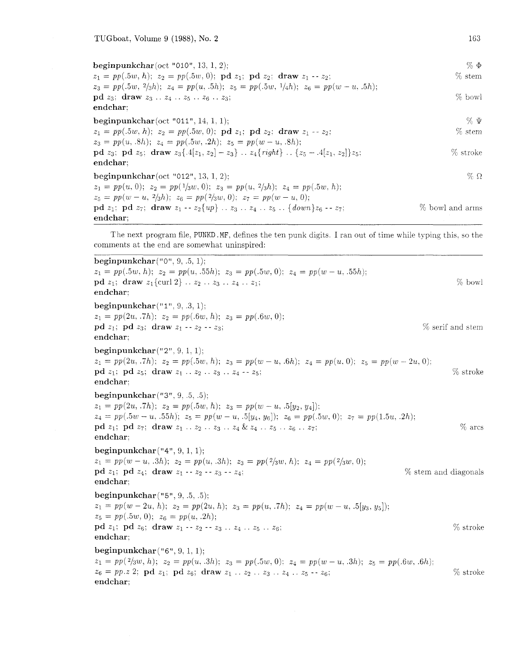endchar;

 $%$   $\Phi$ beginpunkchar (oct "010", 13, 1, 2);  $%$  stem  $z_1 = pp(.5w, h); z_2 = pp(.5w, 0); \text{pd } z_1; \text{pd } z_2; \text{ draw } z_1 - z_2;$  $z_3 = pp(.5w, 2/3h); z_4 = pp(u, .5h); z_5 = pp(.5w, 1/4h); z_6 = pp(w - u, .5h);$ pd  $z_3$ ; draw  $z_3$  . .  $z_4$  . .  $z_5$  . .  $z_6$  . .  $z_3$ ; % bowl endchar: beginpunkchar(oct "011", 14, 1, 1);  $\% \Psi$  $z_1 = pp(.5w, h); z_2 = pp(.5w, 0); \textbf{pd } z_1; \textbf{pd } z_2; \textbf{draw } z_1 - z_2;$ 70 stem  $z_3 = pp(u, .8h); z_4 = pp(.5w, .2h); z_5 = pp(w-u, .8h);$ pd  $z_3$ ; pd  $z_5$ ; draw  $z_3\{.4[z_1, z_2] - z_3\}$ ..  $z_4\{right\}$ ..  $\{z_5 - .4[z_1, z_2]\}z_5$ ; % stroke endchar: beginpunkchar(oct "012", 13, 1. 2):  $\%$   $\Omega$  $z_1 = pp(u, 0); \ z_2 = pp(1/3w, 0); \ z_3 = pp(u, 2/3h); \ z_4 = pp(.5w, h);$  $z_5 = pp(w - u, 2/3h); z_6 = pp(2/3w, 0); z_7 = pp(w - u, 0);$ pd  $z_1$ : pd  $z_7$ ; draw  $z_1 - z_2 \{ up \} \dots z_3 \dots z_4 \dots z_5 \dots \{ down \} z_6 - z_7$ ; %, bowl and arms endchar: --

The next program file, PUNKD .MF, defines the ten punk digits. I ran out of time while typing this, so the comments at the end are somewhat uninspired:

beginpunkchar  $("0", 9, .5, 1);$  $z_1 = pp(.5w, h); z_2 = pp(u, .55h); z_3 = pp(.5w, 0); z_4 = pp(w - u, .55h);$ pd  $z_1$ ; draw  $z_1$ {curl 2} .  $z_2$  . .  $z_3$  . .  $z_4$  . .  $z_1$ ;  $\%$  bowl endchar: beginpunkchar $("1", 9, .3, 1);$  $z_1 = pp(2u, .7h); z_2 = pp(.6w, h); z_3 = pp(.6w, 0);$ pd  $z_1$ ; pd  $z_3$ ; draw  $z_1 - z_2 - z_3$ ; endchar; % serif and stem beginpunkchar $("2", 9, 1, 1);$  $z_1 = pp(2u, 0.7h); z_2 = pp(.5w, h); z_3 = pp(w - u, 0.6h); z_4 = pp(u, 0); z_5 = pp(w - 2u, 0);$ pd  $z_1$ : pd  $z_5$ : draw  $z_1$  .  $z_2$  .  $z_3$  .  $z_4$  --  $z_5$ : endchar: beginpunkchar ("3". 9. .5, .5):  $z_1 = pp(2u, .7h); z_2 = pp(.5w, h); z_3 = pp(w - u, .5[y_2, y_4]);$  $z_4 = pp(.5w - u, .55h); z_5 = pp(w - u, .5[y_4, y_6]); z_6 = pp(.5w, 0); z_7 = pp(1.5u, .2h);$ pd  $z_1$ ; pd  $z_7$ ; draw  $z_1 \ldots z_2 \ldots z_3 \ldots z_4 \& z_4 \ldots z_5 \ldots z_6 \ldots z_7$ ; endchar: % arcs beginpunkchar $("4", 9, 1, 1);$  $z_1 = pp(w-u, .3h); z_2 = pp(u, .3h); z_3 = pp(2/3w, h); z_4 = pp(2/3w, 0);$ pd  $z_1$ ; pd  $z_4$ ; draw  $z_1 - z_2 - z_3 - z_4$ ; endchar: % stem arid diagonals beginpunkchar("5", 9. .5, .5):  $z_1 = pp(w-2u, h); z_2 = pp(2u, h); z_3 = pp(u, .7h); z_4 = pp(w-u, .5[y_3, y_5]);$  $z_5 = pp(.5w, 0); z_6 = pp(u, .2h);$ pd  $z_1$ ; pd  $z_6$ ; draw  $z_1 - z_2 - z_3$  ..  $z_4$  ..  $z_5$  ..  $z_6$ ;  $\%$  stroke endchar: beginpunkchar  $($ "6", 9. 1, 1):  $z_1 = pp(^{2}/3w, h); z_2 = pp(u, .3h); z_3 = pp(.5w, 0); z_4 = pp(w - u, .3h); z_5 = pp(.6w, .6h);$  $z_6 = pp.z$  2; pd  $z_1$ ; pd  $z_6$ ; draw  $z_1 \ldots z_2 \ldots z_3 \ldots z_4 \ldots z_5 - z_6$ ; % stroke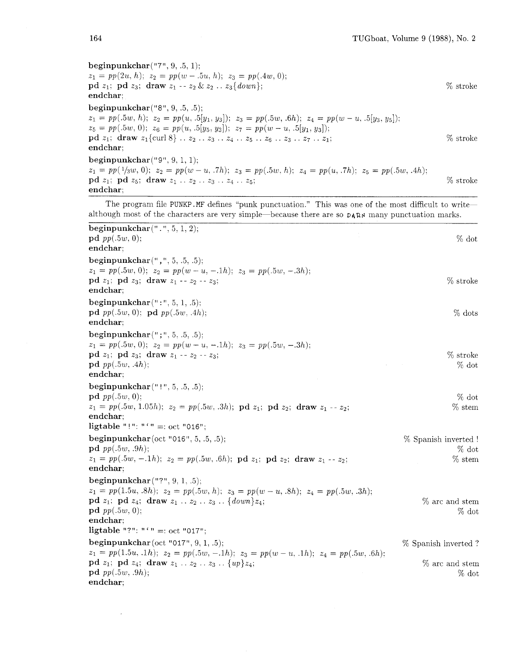*beginpunkchar("7", 9; .5, 1):*   $z_1 = pp(2u, h); z_2 = pp(w-.5u, h); z_3 = pp(.4w, 0);$ *pd zl; pd z3; draw zl* -- *z2* & *z2* . . *z3{down); endchar;*  % stroke *beginpunkchar("8". 9, .5. .5);*   $z_1 = pp(.5w, h); z_2 = pp(u, .5[y_1, y_3]); z_3 = pp(.5w, .6h); z_4 = pp(w - u, .5[y_3, y_5]);$  $z_5 = pp(.5w, 0); z_6 = pp(u, .5[y_5, y_3]); z_7 = pp(w - u, .5[y_1, y_3]);$ *pd zl; draw zl* {curl *8)* . . *z2* . . *23* . . *z4* . . *z5* . . *zg* . . *z3* . . *z7* . . *21;* % stroke *endchar; beginpunkchar ("9".* 9. 1, 1):  $z_1 = pp(1/3w, 0); z_2 = pp(w-u, .7h); z_3 = pp(.5w, h); z_4 = pp(u, .7h); z_5 = pp(.5w, .4h);$ *pd zl; pd z5: draw zl* . . *22* . . *23* . . *z4* . . *z5;* % stroke *endchar;* 

The program file PUNKP.MF defines "punk punctuation." This was one of the most difficult to writealthough most of the characters are very simple-because there are so **DARN** many punctuation marks.

| beginpunkchar $($ ".", 5, 1, 2);                                                                                                                                    |                         |
|---------------------------------------------------------------------------------------------------------------------------------------------------------------------|-------------------------|
| ${\bf pd}\, pp(.5w, 0);$                                                                                                                                            | $\%$ dot                |
| endchar;                                                                                                                                                            |                         |
| beginpunkchar $($ ", ", 5, .5, .5);                                                                                                                                 |                         |
| $z_1 = pp(.5w, 0); z_2 = pp(w-u, -.1h); z_3 = pp(.5w, -.3h);$                                                                                                       |                         |
| $\mathbf{p}\mathbf{d} z_1$ ; $\mathbf{p}\mathbf{d} z_3$ ; $\mathbf{d} \mathbf{r}$ aw $z_1 - z_2 - z_3$ ;                                                            | % stroke                |
| $\hspace{0.1em}\textbf{end}$ char;                                                                                                                                  |                         |
| $begin{bmatrix} \text{begin}} r_1 \\ r_2 \\ r_3 \\ r_4 \end{bmatrix}$                                                                                               |                         |
| ${\bf pd}$ pp(.5w, 0); ${\bf pd}$ pp(.5w, .4h);                                                                                                                     | $%$ dots                |
| endchar;                                                                                                                                                            |                         |
| beginpunkchar $(";", 5, .5, .5);$                                                                                                                                   |                         |
| $z_1 = pp(.5w, 0); z_2 = pp(w-u, -.1h); z_3 = pp(.5w, -.3h);$                                                                                                       |                         |
| $\mathbf{p}\mathbf{d} z_1$ ; $\mathbf{p}\mathbf{d} z_3$ ; draw $z_1 - z_2 - z_3$ ;                                                                                  | % stroke                |
| $\mathbf{p}\mathbf{d}$ pp $(.5w, .4h);$                                                                                                                             | $%$ dot                 |
| endchar;                                                                                                                                                            |                         |
| beginpunkchar $("!!", 5, .5, .5);$                                                                                                                                  |                         |
| $\mathbf{p}\mathbf{d}$ pp $(.5w, 0);$                                                                                                                               | $%$ dot                 |
| $z_1 = pp(.5w, 1.05h); z_2 = pp(.5w, .3h); \textbf{pd } z_1; \textbf{pd } z_2; \textbf{ draw } z_1 - z_2;$                                                          | $%$ stem                |
| endchar:                                                                                                                                                            |                         |
| ligtable "!": "' =: oct "016";                                                                                                                                      |                         |
| beginpunkchar $(oct "016", 5, .5, .5);$                                                                                                                             | $\%$ Spanish inverted ! |
| $pd$ pp $(.5w, .9h);$                                                                                                                                               | $%$ dot                 |
| $z_1 = pp(.5w, -.1h); z_2 = pp(.5w, .6h); \textbf{pd } z_1; \textbf{pd } z_2; \textbf{draw } z_1 - z_2;$                                                            | $%$ stem                |
| $\hspace{0.1em}\textbf{end}$ char;                                                                                                                                  |                         |
| beginpunkchar $("?", 9, 1, .5);$                                                                                                                                    |                         |
| $z_1 = pp(1.5u, .8h); z_2 = pp(.5w, h); z_3 = pp(w - u, .8h); z_4 = pp(.5w, .3h);$                                                                                  |                         |
| $\mathbf{p}\mathbf{d} z_1$ ; $\mathbf{p}\mathbf{d} z_4$ ; $\mathbf{d} \mathbf{r}$ aw $z_1 \ldots z_2 \ldots z_3 \ldots \{ down\} z_4$ ;                             | % arc and stem          |
| ${\bf pd}\ pp(.5w, 0);$                                                                                                                                             | $%$ dot                 |
| endchar;                                                                                                                                                            |                         |
| ligtable "?": "' =: oct "017";                                                                                                                                      |                         |
|                                                                                                                                                                     | % Spanish inverted?     |
| $z_1 = pp(1.5u, 1h); z_2 = pp(.5w, -.1h); z_3 = pp(w - u, 1h); z_4 = pp(.5w, .6h);$                                                                                 |                         |
| $\mathbf{p}\mathbf{d} z_1$ ; $\mathbf{p}\mathbf{d} z_4$ ; $\mathbf{d} \mathbf{r}$ aw $z_1 \ldots z_2 \ldots z_3 \ldots \{ up \} z_4$ ;<br>${\bf pd}\ pp(.5w, .9h);$ | % arc and stem          |
| $\hspace{0.01em}$ endchar;                                                                                                                                          | $%$ dot                 |
|                                                                                                                                                                     |                         |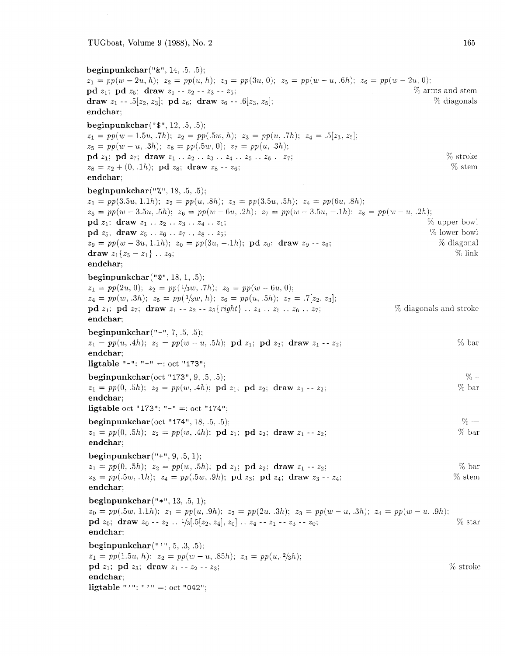*beginpunkchar("&", 14. .5. .5);*   $z_1 = pp(w - 2u, h);$   $z_2 = pp(u, h);$   $z_3 = pp(3u, 0);$   $z_5 = pp(w - u, .6h);$   $z_6 = pp(w - 2u, 0);$ <br> **pd**  $z_1:$  **pd**  $z_5:$  **draw**  $z_1 - z_2 - z_3 - z_5;$ <br>
<sup>76</sup> arms and stem **pd**  $z_1$ ; **pd**  $z_5$ ; **draw**  $z_1 - z_2 - z_3 - z_5$ ;<br> **draw**  $z_1 - z_1$  .5[ $z_2$ ,  $z_3$ ]; **pd**  $z_6$ ; **draw**  $z_6 - z_1$  .6[ $z_3$ ,  $z_5$ ]; <br> (b)  $\%$  (diagonals draw  $z_1$  -- *.*5[ $z_2$ ,  $z_3$ ]; pd  $z_6$ ; draw  $z_6$  -- *.6*[ $z_3$ ,  $z_5$ ]; *endchar; beginpunkchar("\$", 12, .5, .5):*   $z_1 = pp(w-1.5u, .7h); z_2 = pp(.5w, h); z_3 = pp(u, .7h); z_4 = .5[z_3, z_5];$  $z_5 = pp(w-u, .3h); z_6 = pp(.5w, 0); z_7 = pp(u, .3h);$ *pd z<sub>1</sub>*; *pd z<sub>7</sub>*; *draw z*<sub>1</sub> . . *z*<sub>2</sub> . . *z*<sub>3</sub> . . *z*<sub>4</sub> . . *z*<sub>5</sub> . . *z*<sub>6</sub> . . *z<sub>7</sub>*; *w* stroke  $z_8 = z_2 + (0, 1h)$ ; *pd z*<sub>8</sub>; *draw z*<sub>8</sub> - - *z<sub>6</sub>*; *W* stem *%* stem  $z_8 = z_2 + (0, 1h);$  pd  $z_8$ ; draw  $z_8 - z_6$ ; *endchar: beginpunkchar("%", 18,* .5. *.5);*   $z_1 = pp(3.5u, 1.1h); z_2 = pp(u, .8h); z_3 = pp(3.5u, .5h); z_4 = pp(6u, .8h);$  $z_5 = pp(w - 3.5u, 0.5h);$   $z_6 = pp(w - 6u, 0.2h);$   $z_7 = pp(w - 3.5u, -0.1h);$   $z_8 = pp(w - u, 0.2h);$ <br> **od**  $z_1$ : **draw**  $z_1 \ldots z_2 \ldots z_3 \ldots z_4 \ldots z_1$ : *pd z<sub>1</sub>*; draw *z*<sub>1</sub> . . *z*<sub>2</sub> . . *z*<sub>3</sub> . . *z*<sub>4</sub> . . *z*<sub>1</sub>; *z*<sub>1</sub>; *z<sub>1</sub>* . . *z<sub>6</sub>* . . *z<sub>6</sub>* . . *z<sub>6</sub>* . . *z<sub>6</sub>* . . *z<sub>6</sub>* . . *z<sub>6</sub>* . . *z<sub>6</sub>* . . *z<sub>6</sub>* . . *z<sub>6</sub>* . . *z<sub>6</sub>* . . *z<sub>6</sub>* . . *z<sub>6</sub>* . . *z<sub>*</sub> **pd**  $z_5$ ; **draw**  $z_5$  . .  $z_6$  . .  $z_7$  . .  $z_8$  . .  $z_5$ ;<br>  $z_9 = pp(w - 3u, 1.1h)$ ;  $z_0 = pp(3u, -1h)$ ; **pd**  $z_0$ ; **draw**  $z_9 - z_0$ ;<br>
<sup>76</sup> diagonal *z***<sub>9</sub>**  $z_5$ ; draw  $z_5 \tcdot z_6 \tcdot z_7 \tcdot z_8 \tcdot z_5$ ;<br>  $z_9 = pp(w - 3u, 1.1h); z_0 = pp(3u, -.1h); \text{pd } z_0; \text{ draw } z_9 - z_0;$  % diagonal  $d_2g = pp(w - 3u, 1.1h);$   $z_0 = pp(3u, -1h);$   $p_0z_0;$   $d_1d_2y - z_0;$   $z_1\{z_5 - z_1\}...$   $z_9;$   $\%$  link *endchar; beginpunkchar* (" $\mathbb{C}$ ", 18, 1, .5);  $z_1 = pp(2u, 0); z_2 = pp({}^{1}/3w, .7h); z_3 = pp(w - 6u, 0);$  $z_4 = pp(w, .3h); z_5 = pp(1/3w, h); z_6 = pp(u, .5h); z_7 = .7[z_2, z_3];$ *pd zl; pd z7; draw zl* -- *zz* -- *z3{rzght)* . . *zq* . . *zg* . . *zg* . . *z7:* % diagonals and stroke *endchar; beginpunkchar("-", 7, .5, .5):*   $z_1 = pp(u, 4h); z_2 = pp(w - u, 5h); \textbf{pd } z_1; \textbf{pd } z_2; \textbf{draw } z_1 - z_2;$  % bar *endchar;*   $liptable$   $"="=""="=""="" := 'oct "173";$ *beginpunkchar* (oct " *173", 9.* .5. *.5):* 9')  $z_1 = pp(0, 0.5h); z_2 = pp(w, 0.4h); \textbf{pd } z_1; \textbf{pd } z_2; \textbf{draw } z_1 - z_2;$  <br> <sup>96</sup> bar *endchar: ligtable* oct *"173":* "-" =: oct *"174":*  **beginpunkchar** (oct "174", 18, .5, .5);<br>  $z_1 = pp(0, .5h); z_2 = pp(w, .4h); \text{pd } z_1; \text{pd } z_2; \text{ draw } z_1 - z_2;$  % bar  $z_1 = pp(0, .5h); z_2 = pp(w, .4h); \textbf{pd } z_1; \textbf{pd } z_2; \textbf{draw } z_1 - z_2;$ *endchar: beginpunkchar("+", 9, .5, 1):*   $z_1 = pp(0, 0.5h); z_2 = pp(w, 0.5h); \text{pd } z_1; \text{pd } z_2; \text{ draw } z_1 - z_2;$  $z_3 = pp(.5w, .1h); z_4 = pp(.5w, .9h); \textbf{pd } z_3; \textbf{pd } z_4; \textbf{draw } z_3 - z_4;$ *endchar;*  % bar % stern *beginpunkchar("\*", 13, .5, 1);*   $z_0 = pp(.5w, 1.1h);$   $z_1 = pp(u, .9h);$   $z_2 = pp(2u, .3h);$   $z_3 = pp(w - u, .3h);$   $z_4 = pp(w - u, .9h);$ *pd zo; draw zo* - - *22* . . *1/3[.5[z2. 241, ZO]* . . *z4* - - *z1* - - *z3* - - *ZO;* %I star *endchar: beginpunkchar("* ' ", *5, .3, .5);*   $z_1 = pp(1.5u, h); z_2 = pp(w - u, .85h); z_3 = pp(u, \frac{2}{3}h);$ *pd zl; pd z3; draw zl* - - *22* -- *z3; endchar;*  **ligtable** "'": "'" =: oct "042"; 7~ stroke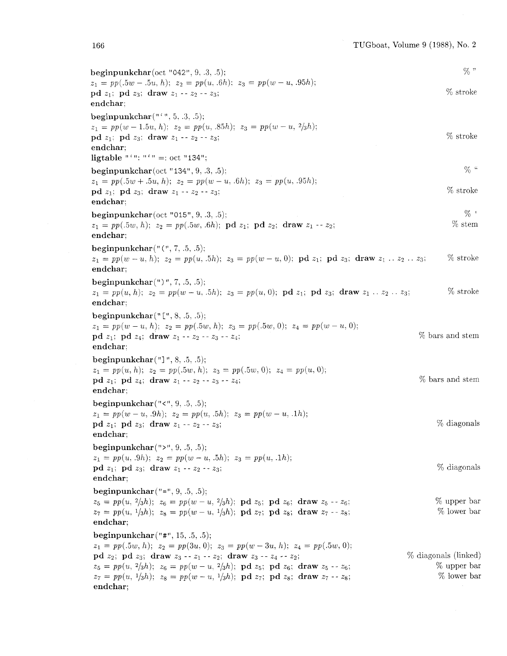beginpunkchar(oct "042". 9, .3, .5):  $z_1 = pp(.5w - .5u, h); z_2 = pp(u, .6h); z_3 = pp(w - u, .95h);$ pd  $z_1$ ; pd  $z_3$ ; draw  $z_1 - z_2 - z_3$ ; endchar: beginpunkchar $(* , 5, .3, .5);$  $z_1 = pp(w - 1.5u, h); z_2 = pp(u, .85h); z_3 = pp(w - u, 2/3h);$ pd  $z_1$ . pd  $z_3$ : draw  $z_1 - z_2 - z_3$ ; endchar: ligtable "'": "'" =: oct "134"; beginpunkchar(oct "134",  $9, .3, .5$ );  $z_1 = pp(.5w + .5u, h); z_2 = pp(w - u, .6h); z_3 = pp(u, .95h);$ pd  $z_1$ ; pd  $z_3$ ; draw  $z_1 - z_2 - z_3$ ; endchar: beginpunkchar(oct "015", 9, .3. .5);  $z_1 = pp(.5w, h); z_2 = pp(.5w, .6h); \textbf{pd } z_1; \textbf{pd } z_2; \textbf{draw } z_1 - z_2;$ endchar: beginpunkchar $($  " $($  ",  $7, .5, .5)$ ;  $z_1 = pp(w-u, h); z_2 = pp(u, 0.5h); z_3 = pp(w-u, 0); \textbf{p}d z_1; \textbf{p}d z_3; \textbf{draw} z_1 \ldots z_2 \ldots z_3;$  % stroke endchar: beginpunkchar(") ", *7,* .5, .5);  $z_1 = pp(u, h); z_2 = pp(w - u, 5h); z_3 = pp(u, 0); \textbf{pd } z_1; \textbf{pd } z_3; \textbf{draw } z_1 \ldots z_2 \ldots z_3;$  % stroke endchar: beginpunkchar $(" [", 8, .5, .5);$  $z_1 = pp(w - u, h); z_2 = pp(.5w, h); z_3 = pp(.5w, 0); z_4 = pp(w - u, 0);$ pd  $z_1$ ; pd  $z_4$ ; draw  $z_1 - z_2 - z_3 - z_4$ ; endchar: beginpunkchar("] ", 8, .5. .5);  $z_1 = pp(u, h); z_2 = pp(.5w, h); z_3 = pp(.5w, 0); z_4 = pp(u, 0);$ pd  $z_1$ ; pd  $z_4$ ; draw  $z_1 - z_2 - z_3 - z_4$ ; endchar; beginpunkchar $("<", 9", .5", .5);$  $z_1 = pp(w - u, .9h); z_2 = pp(u, .5h); z_3 = pp(w - u, .1h);$ pd  $z_1$ ; pd  $z_3$ ; draw  $z_1 - z_2 - z_3$ ; endchar: beginpunkchar $(">", 9, .5, .5);$  $z_1 = pp(u, .9h); z_2 = pp(w - u, .5h); z_3 = pp(u, .1h);$  $\mathbf{p}\mathbf{d} z_1$ ;  $\mathbf{p}\mathbf{d} z_3$ ; draw  $z_1 - z_2 - z_3$ ; endchar; beginpunkchar ("=",  $9, .5, .5$ );  $z_5 = pp(u, 2/3h); z_6 = pp(w-u, 2/3h); \textbf{pd } z_5; \textbf{pd } z_6; \textbf{draw } z_5 - z_6;$  $z_7 = pp(u, \frac{1}{3}h); z_8 = pp(w-u, \frac{1}{3}h); \textbf{pd } z_7; \textbf{pd } z_8; \textbf{draw } z_7 - z_8;$ endchar: beginpunkchar $("#", 15, .5, .5);$  $z_1 = pp(.5w, h); z_2 = pp(3u, 0); z_3 = pp(w - 3u, h); z_4 = pp(.5w, 0);$ pd  $z_2$ ; pd  $z_3$ ; draw  $z_3 - z_1 - z_2$ ; draw  $z_3 - z_4 - z_2$ ;  $z_5 = pp(u, 2/3h); z_6 = pp(w-u, 2/3h); \textbf{p}d z_5; \textbf{p}d z_6; \textbf{draw} z_5 - z_6;$  $z_7 = pp(u, \frac{1}{3}h); z_8 = pp(w-u, \frac{1}{3}h); \text{pd } z_7; \text{pd } z_8; \text{ draw } z_7 - z_8;$ endchar; % bars and stern % bars and stem % diagonals %" '76 stroke % stroke  $\%$  " % stroke  $%$  ' '% stem % diagonals % upper bar % lower bar % diagonals (linked) % upper bar % lower bar

166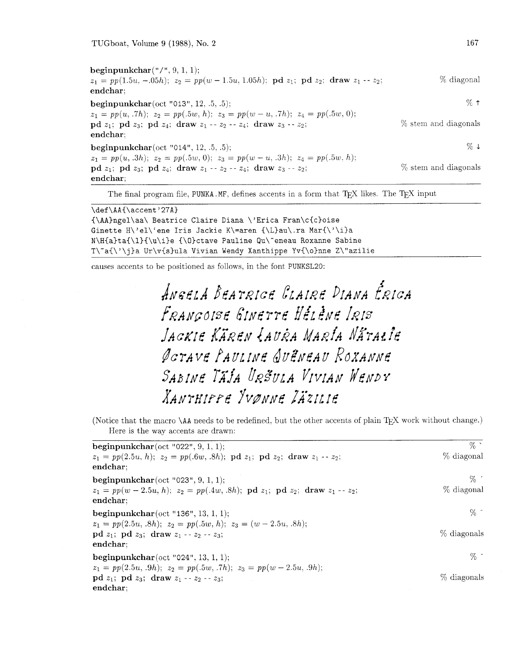beginpunkchar $($ "/",  $9, 1, 1)$ ;  $z_1 = pp(1.5u, -.05h);$   $z_2 = pp(w - 1.5u, 1.05h);$   $pd\ z_1;$   $pd\ z_2;$  draw  $z_1 - z_2;$  % diagonal endchar; **beginpunkchar**(oct "013", 12, .5, .5);  $\%$   $\uparrow$  $z_1 = pp(u, .7h); z_2 = pp(.5w, h); z_3 = pp(w - u, .7h); z_4 = pp(.5w, 0);$ **pd**  $z_1$ ; **pd**  $z_3$ ; **pd**  $z_4$ ; **draw**  $z_1 - z_2 - z_4$ ; **draw**  $z_3 - z_2$ ;  $\%$  stem and diagonals endchar; **beginpunkchar**(oct "014", 12, .5, .5);  $\% \downarrow$  $z_1 = pp(u, .3h); z_2 = pp(.5w, 0); z_3 = pp(w - u, .3h); z_4 = pp(.5w, h);$ **pd**  $z_1$ ; **pd**  $z_3$ ; **pd**  $z_4$ ; **draw**  $z_1 - z_2 - z_4$ ; **draw**  $z_3 - z_2$ ;  $\%$  stem and diagonals endchar;

The final program file, PUNKA .MF, defines accents in a form that TEX likes. The TEX input

```
\def\AA{\accent'27A) 
{\AA)ngel\aa\ Beatrice Claire Diana \'Erica Fran\c{c)oise 
Ginette H\'el\'ene Iris Jackie K\=aren {\L)au\.ra Mar{\'\i)a 
N\H{a}ta{\l}{\u\i}e {\O}ctave Pauline Qu\^eneau Roxanne Sabine
T\"a{\'\j)a Ur\v{s)ula Vivian Wendy Xanthippe Yv{\o}nne Z\"azilie
```
causes accents to be positioned as follows, in the font PUNKSL20:

ANGELA BEATRICE CLAIRE DIANA ÉRICA FRANCOISE GINETTE HELENE IRIS JACKIE KÄREN LAURA MARÍA NÄTALIE ØGTAVE PAULINE QUENEAU ROXANNE SABINE TAJA URŠULA VIVIAN WENDY XANTHIPPE YVØNNE ZÄZILIE

(Notice that the macro \AA needs to be redefined, but the other accents of plain T<sub>E</sub>X work without change.) Here is the way accents are drawn:

| beginpunkchar(oct "022", $9, 1, 1$ );<br>$z_1 = pp(2.5u, h); z_2 = pp(.6w, .8h); \text{pd } z_1; \text{pd } z_2; \text{ draw } z_1 - z_2;$<br>endchar:                                                                     | $\%$<br>% diagonal   |
|----------------------------------------------------------------------------------------------------------------------------------------------------------------------------------------------------------------------------|----------------------|
| beginpunkchar(oct "023", $9, 1, 1$ );<br>$z_1 = pp(w-2.5u, h); z_2 = pp(.4w, .8h); \text{pd } z_1; \text{pd } z_2; \text{ draw } z_1 - z_2;$<br>endchar;                                                                   | $\%$ .<br>% diagonal |
| <b>beginpunkchar</b> (oct "136", 13, 1, 1);                                                                                                                                                                                | $\%$ ^               |
| $z_1 = pp(2.5u, .8h); z_2 = pp(.5w, h); z_3 = (w - 2.5u, .8h);$<br>$\mathbf{p} \, \mathbf{d} \, z_1; \; \mathbf{p} \, \mathbf{d} \, z_3; \; \mathbf{d} \mathbf{r} \mathbf{a} \mathbf{w} \, z_1 - z_2 - z_3;$<br>endchar:   | % diagonals          |
| <b>beginpunkchar</b> (oct "024", 13, 1, 1);                                                                                                                                                                                | $\%$ *               |
| $z_1 = pp(2.5u, .9h); z_2 = pp(.5w, .7h); z_3 = pp(w-2.5u, .9h);$<br>$\mathbf{p} \, \mathbf{d} \, z_1; \; \mathbf{p} \, \mathbf{d} \, z_3; \; \mathbf{d} \mathbf{r} \mathbf{a} \mathbf{w} \, z_1 - z_2 - z_3;$<br>endchar; | % diagonals          |